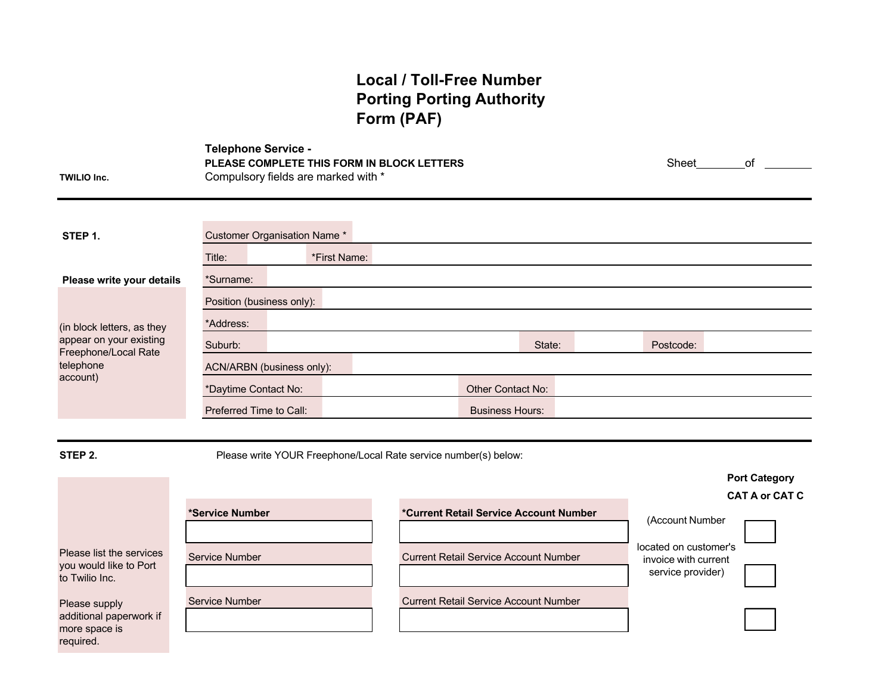## **Local / Toll-Free Number Porting Porting Authority Form (PAF)**

| <b>Telephone Service -</b>                 |
|--------------------------------------------|
| PLEASE COMPLETE THIS FORM IN BLOCK LETTERS |
| Compulsory fields are marked with *        |

**TWILIO Inc.**

Sheet\_\_\_\_\_\_\_\_\_of \_\_\_\_\_\_\_\_\_

| STEP 1.                                                                       | <b>Customer Organisation Name*</b> |                                                                 |                                              |        |                                           |                       |
|-------------------------------------------------------------------------------|------------------------------------|-----------------------------------------------------------------|----------------------------------------------|--------|-------------------------------------------|-----------------------|
|                                                                               | Title:                             | *First Name:                                                    |                                              |        |                                           |                       |
| Please write your details                                                     | *Surname:                          |                                                                 |                                              |        |                                           |                       |
|                                                                               | Position (business only):          |                                                                 |                                              |        |                                           |                       |
| (in block letters, as they<br>appear on your existing<br>Freephone/Local Rate | *Address:                          |                                                                 |                                              |        |                                           |                       |
|                                                                               | Suburb:                            |                                                                 |                                              | State: | Postcode:                                 |                       |
| telephone                                                                     | ACN/ARBN (business only):          |                                                                 |                                              |        |                                           |                       |
| account)                                                                      | *Daytime Contact No:               |                                                                 | <b>Other Contact No:</b>                     |        |                                           |                       |
|                                                                               | Preferred Time to Call:            |                                                                 | <b>Business Hours:</b>                       |        |                                           |                       |
|                                                                               |                                    |                                                                 |                                              |        |                                           |                       |
| STEP 2.                                                                       |                                    | Please write YOUR Freephone/Local Rate service number(s) below: |                                              |        |                                           |                       |
|                                                                               |                                    |                                                                 |                                              |        |                                           | <b>Port Category</b>  |
|                                                                               |                                    |                                                                 |                                              |        |                                           | <b>CAT A or CAT C</b> |
|                                                                               | *Service Number                    |                                                                 | *Current Retail Service Account Number       |        | (Account Number                           |                       |
| Please list the services<br>you would like to Port<br>to Twilio Inc.          |                                    |                                                                 |                                              |        | located on customer's                     |                       |
|                                                                               | <b>Service Number</b>              |                                                                 | <b>Current Retail Service Account Number</b> |        | invoice with current<br>service provider) |                       |
|                                                                               |                                    |                                                                 |                                              |        |                                           |                       |
| Please supply<br>additional paperwork if<br>more space is                     | Service Number                     |                                                                 | <b>Current Retail Service Account Number</b> |        |                                           |                       |
|                                                                               |                                    |                                                                 |                                              |        |                                           |                       |
| required.                                                                     |                                    |                                                                 |                                              |        |                                           |                       |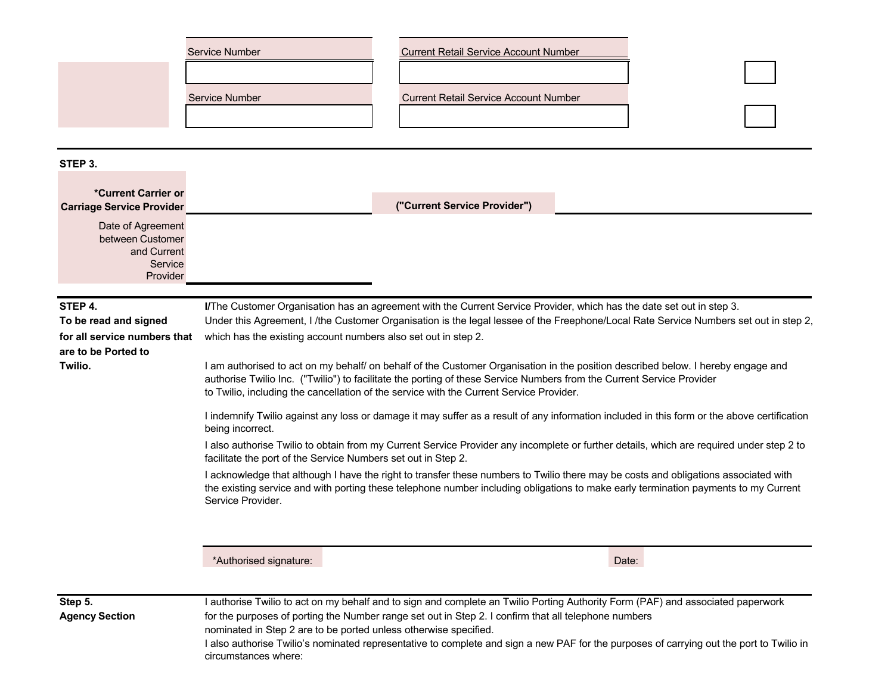| <b>Service Number</b> | <b>Current Retail Service Account Number</b> |  |
|-----------------------|----------------------------------------------|--|
|                       |                                              |  |
| <b>Service Number</b> | <b>Current Retail Service Account Number</b> |  |
|                       |                                              |  |

**STEP 3.**

**STEP 4. I/The Customer Organisation has an agreement with the Current Service Provider, which has the date set out in step 3. To be read and signed** Under this Agreement, I /the Customer Organisation is the legal lessee of the Freephone/Local Rate Service Numbers set out in step 2, **for all service numbers that** which has the existing account numbers also set out in step 2. **are to be Ported to Twilio.** I am authorised to act on my behalf/ on behalf of the Customer Organisation in the position described below. I hereby engage and authorise Twilio Inc. ("Twilio") to facilitate the porting of these Service Numbers from the Current Service Provider to Twilio, including the cancellation of the service with the Current Service Provider. I indemnify Twilio against any loss or damage it may suffer as a result of any information included in this form or the above certification being incorrect. I also authorise Twilio to obtain from my Current Service Provider any incomplete or further details, which are required under step 2 to facilitate the port of the Service Numbers set out in Step 2. I acknowledge that although I have the right to transfer these numbers to Twilio there may be costs and obligations associated with the existing service and with porting these telephone number including obligations to make early termination payments to my Current Service Provider. **Step 5.** I authorise Twilio to act on my behalf and to sign and complete an Twilio Porting Authority Form (PAF) and associated paperwork **Agency Section** for the purposes of porting the Number range set out in Step 2. I confirm that all telephone numbers nominated in Step 2 are to be ported unless otherwise specified. **\*Current Carrier or Carriage Service Provider** Date of Agreement between Customer and Current Service Provider **("Current Service Provider")** \*Authorised signature: Date:

> I also authorise Twilio's nominated representative to complete and sign a new PAF for the purposes of carrying out the port to Twilio in circumstances where: